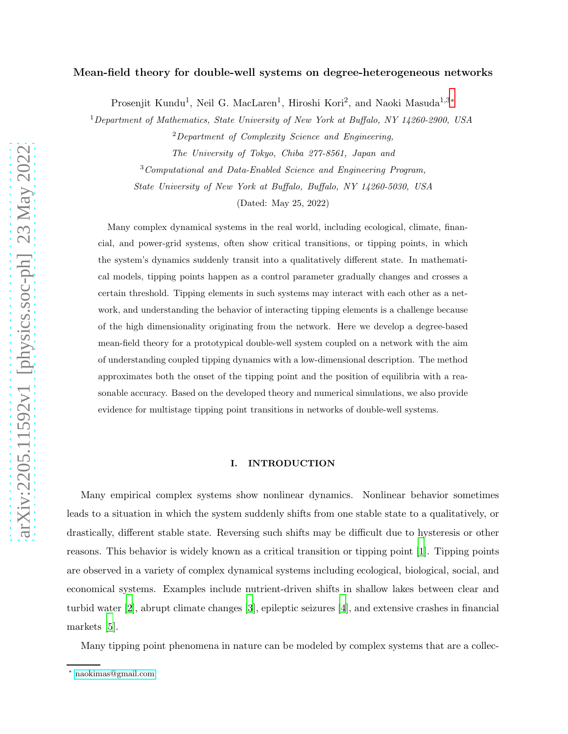# Mean-field theory for double-well systems on degree-heterogeneous networks

Prosenjit Kundu<sup>1</sup>, Neil G. MacLaren<sup>1</sup>, Hiroshi Kori<sup>2</sup>, and Naoki Masuda<sup>1,3</sup>\*

<sup>1</sup>Department of Mathematics, State University of New York at Buffalo, NY 14260-2900, USA

 $2$ Department of Complexity Science and Engineering,

The University of Tokyo, Chiba 277-8561, Japan and

<sup>3</sup>Computational and Data-Enabled Science and Engineering Program,

State University of New York at Buffalo, Buffalo, NY 14260-5030, USA

(Dated: May 25, 2022)

Many complex dynamical systems in the real world, including ecological, climate, financial, and power-grid systems, often show critical transitions, or tipping points, in which the system's dynamics suddenly transit into a qualitatively different state. In mathematical models, tipping points happen as a control parameter gradually changes and crosses a certain threshold. Tipping elements in such systems may interact with each other as a network, and understanding the behavior of interacting tipping elements is a challenge because of the high dimensionality originating from the network. Here we develop a degree-based mean-field theory for a prototypical double-well system coupled on a network with the aim of understanding coupled tipping dynamics with a low-dimensional description. The method approximates both the onset of the tipping point and the position of equilibria with a reasonable accuracy. Based on the developed theory and numerical simulations, we also provide evidence for multistage tipping point transitions in networks of double-well systems.

# <span id="page-0-1"></span>I. INTRODUCTION

Many empirical complex systems show nonlinear dynamics. Nonlinear behavior sometimes leads to a situation in which the system suddenly shifts from one stable state to a qualitatively, or drastically, different stable state. Reversing such shifts may be difficult due to hysteresis or other reasons. This behavior is widely known as a critical transition or tipping point [\[1](#page-14-0)]. Tipping points are observed in a variety of complex dynamical systems including ecological, biological, social, and economical systems. Examples include nutrient-driven shifts in shallow lakes between clear and turbid water [\[2\]](#page-14-1), abrupt climate changes [\[3\]](#page-14-2), epileptic seizures [\[4\]](#page-14-3), and extensive crashes in financial markets [\[5\]](#page-14-4).

Many tipping point phenomena in nature can be modeled by complex systems that are a collec-

<span id="page-0-0"></span><sup>∗</sup> [naokimas@gmail.com](mailto:naokimas@gmail.com)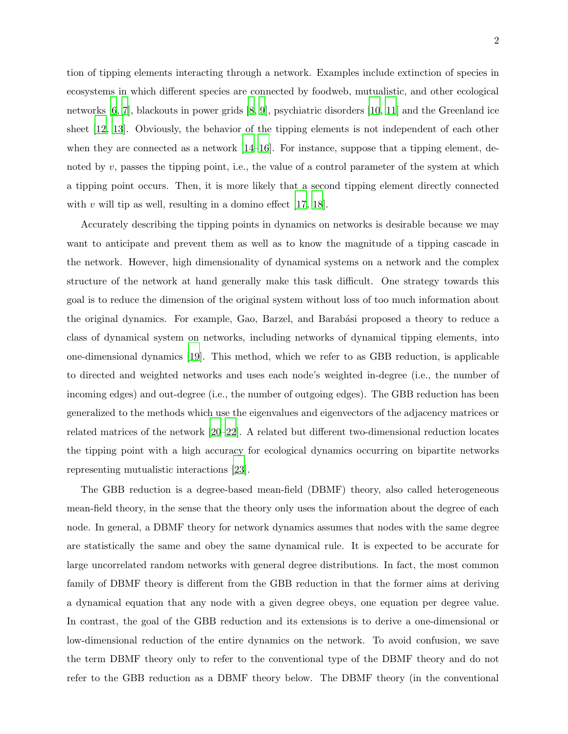tion of tipping elements interacting through a network. Examples include extinction of species in ecosystems in which different species are connected by foodweb, mutualistic, and other ecological networks [\[6](#page-14-5), [7\]](#page-14-6), blackouts in power grids [\[8](#page-14-7), [9\]](#page-14-8), psychiatric disorders [\[10](#page-14-9), [11](#page-14-10)] and the Greenland ice sheet [\[12](#page-14-11), [13\]](#page-14-12). Obviously, the behavior of the tipping elements is not independent of each other when they are connected as a network  $[14–16]$  $[14–16]$  $[14–16]$ . For instance, suppose that a tipping element, denoted by  $v$ , passes the tipping point, i.e., the value of a control parameter of the system at which a tipping point occurs. Then, it is more likely that a second tipping element directly connected with v will tip as well, resulting in a domino effect  $|17, 18|$  $|17, 18|$  $|17, 18|$ .

Accurately describing the tipping points in dynamics on networks is desirable because we may want to anticipate and prevent them as well as to know the magnitude of a tipping cascade in the network. However, high dimensionality of dynamical systems on a network and the complex structure of the network at hand generally make this task difficult. One strategy towards this goal is to reduce the dimension of the original system without loss of too much information about the original dynamics. For example, Gao, Barzel, and Barabási proposed a theory to reduce a class of dynamical system on networks, including networks of dynamical tipping elements, into one-dimensional dynamics [\[19](#page-15-3)]. This method, which we refer to as GBB reduction, is applicable to directed and weighted networks and uses each node's weighted in-degree (i.e., the number of incoming edges) and out-degree (i.e., the number of outgoing edges). The GBB reduction has been generalized to the methods which use the eigenvalues and eigenvectors of the adjacency matrices or related matrices of the network [\[20](#page-15-4)[–22\]](#page-15-5). A related but different two-dimensional reduction locates the tipping point with a high accuracy for ecological dynamics occurring on bipartite networks representing mutualistic interactions [\[23](#page-15-6)].

The GBB reduction is a degree-based mean-field (DBMF) theory, also called heterogeneous mean-field theory, in the sense that the theory only uses the information about the degree of each node. In general, a DBMF theory for network dynamics assumes that nodes with the same degree are statistically the same and obey the same dynamical rule. It is expected to be accurate for large uncorrelated random networks with general degree distributions. In fact, the most common family of DBMF theory is different from the GBB reduction in that the former aims at deriving a dynamical equation that any node with a given degree obeys, one equation per degree value. In contrast, the goal of the GBB reduction and its extensions is to derive a one-dimensional or low-dimensional reduction of the entire dynamics on the network. To avoid confusion, we save the term DBMF theory only to refer to the conventional type of the DBMF theory and do not refer to the GBB reduction as a DBMF theory below. The DBMF theory (in the conventional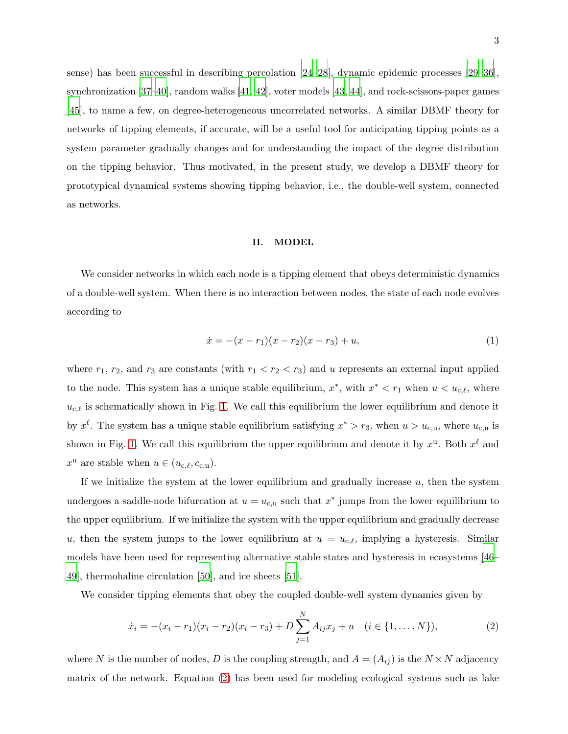sense) has been successful in describing percolation [\[24](#page-15-7)[–28\]](#page-15-8), dynamic epidemic processes [\[29](#page-15-9)[–36](#page-16-0)], synchronization [\[37](#page-16-1)[–40](#page-16-2)], random walks [\[41,](#page-16-3) [42](#page-16-4)], voter models [\[43,](#page-16-5) [44](#page-16-6)], and rock-scissors-paper games [\[45\]](#page-16-7), to name a few, on degree-heterogeneous uncorrelated networks. A similar DBMF theory for networks of tipping elements, if accurate, will be a useful tool for anticipating tipping points as a system parameter gradually changes and for understanding the impact of the degree distribution on the tipping behavior. Thus motivated, in the present study, we develop a DBMF theory for prototypical dynamical systems showing tipping behavior, i.e., the double-well system, connected as networks.

## II. MODEL

We consider networks in which each node is a tipping element that obeys deterministic dynamics of a double-well system. When there is no interaction between nodes, the state of each node evolves according to

$$
\dot{x} = -(x - r_1)(x - r_2)(x - r_3) + u,\tag{1}
$$

where  $r_1$ ,  $r_2$ , and  $r_3$  are constants (with  $r_1 < r_2 < r_3$ ) and u represents an external input applied to the node. This system has a unique stable equilibrium,  $x^*$ , with  $x^* < r_1$  when  $u < u_{c,\ell}$ , where  $u_{c,\ell}$  is schematically shown in Fig. [1.](#page-4-0) We call this equilibrium the lower equilibrium and denote it by  $x^{\ell}$ . The system has a unique stable equilibrium satisfying  $x^* > r_3$ , when  $u > u_{c,u}$ , where  $u_{c,u}$  is shown in Fig. [1.](#page-4-0) We call this equilibrium the upper equilibrium and denote it by  $x^{\mathrm{u}}$ . Both  $x^{\ell}$  and  $x^{\mathrm{u}}$  are stable when  $u \in (u_{\mathrm{c},\ell}, c_{\mathrm{c},\mathrm{u}})$ .

If we initialize the system at the lower equilibrium and gradually increase  $u$ , then the system undergoes a saddle-node bifurcation at  $u = u_{c,u}$  such that  $x^*$  jumps from the lower equilibrium to the upper equilibrium. If we initialize the system with the upper equilibrium and gradually decrease u, then the system jumps to the lower equilibrium at  $u = u_{c,\ell}$ , implying a hysteresis. Similar models have been used for representing alternative stable states and hysteresis in ecosystems [\[46–](#page-16-8) [49\]](#page-16-9), thermohaline circulation [\[50](#page-16-10)], and ice sheets [\[51](#page-17-0)].

We consider tipping elements that obey the coupled double-well system dynamics given by

<span id="page-2-0"></span>
$$
\dot{x}_i = -(x_i - r_1)(x_i - r_2)(x_i - r_3) + D \sum_{j=1}^{N} A_{ij} x_j + u \quad (i \in \{1, ..., N\}),
$$
\n(2)

where N is the number of nodes, D is the coupling strength, and  $A = (A_{ij})$  is the  $N \times N$  adjacency matrix of the network. Equation [\(2\)](#page-2-0) has been used for modeling ecological systems such as lake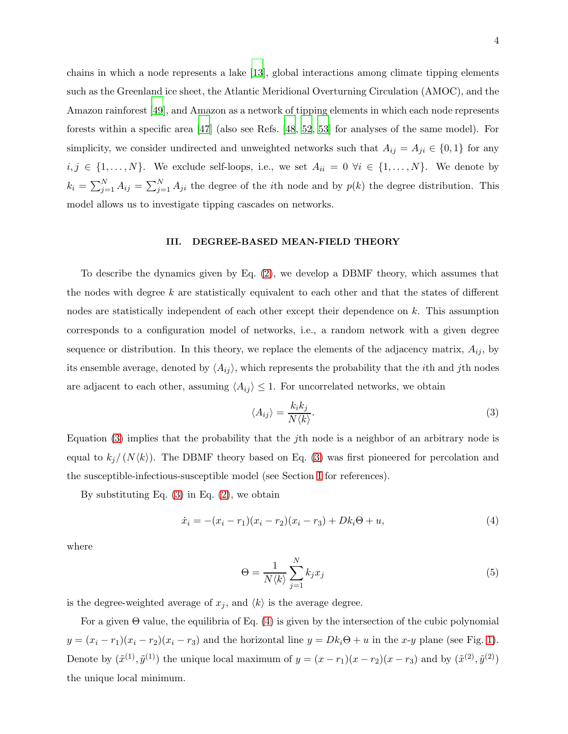chains in which a node represents a lake [\[13](#page-14-12)], global interactions among climate tipping elements such as the Greenland ice sheet, the Atlantic Meridional Overturning Circulation (AMOC), and the Amazon rainforest [\[49\]](#page-16-9), and Amazon as a network of tipping elements in which each node represents forests within a specific area [\[47](#page-16-11)] (also see Refs. [\[48,](#page-16-12) [52](#page-17-1), [53](#page-17-2)] for analyses of the same model). For simplicity, we consider undirected and unweighted networks such that  $A_{ij} = A_{ji} \in \{0,1\}$  for any  $i, j \in \{1, \ldots, N\}$ . We exclude self-loops, i.e., we set  $A_{ii} = 0 \ \forall i \in \{1, \ldots, N\}$ . We denote by  $k_i = \sum_{j=1}^{N} A_{ij} = \sum_{j=1}^{N} A_{ji}$  the degree of the *i*th node and by  $p(k)$  the degree distribution. This model allows us to investigate tipping cascades on networks.

#### <span id="page-3-3"></span>III. DEGREE-BASED MEAN-FIELD THEORY

To describe the dynamics given by Eq. [\(2\)](#page-2-0), we develop a DBMF theory, which assumes that the nodes with degree  $k$  are statistically equivalent to each other and that the states of different nodes are statistically independent of each other except their dependence on k. This assumption corresponds to a configuration model of networks, i.e., a random network with a given degree sequence or distribution. In this theory, we replace the elements of the adjacency matrix,  $A_{ij}$ , by its ensemble average, denoted by  $\langle A_{ij} \rangle$ , which represents the probability that the *i*th and *j*th nodes are adjacent to each other, assuming  $\langle A_{ij} \rangle \leq 1$ . For uncorrelated networks, we obtain

<span id="page-3-0"></span>
$$
\langle A_{ij} \rangle = \frac{k_i k_j}{N \langle k \rangle}.
$$
 (3)

Equation [\(3\)](#page-3-0) implies that the probability that the jth node is a neighbor of an arbitrary node is equal to  $k_j/(N\langle k\rangle)$ . The DBMF theory based on Eq. [\(3\)](#page-3-0) was first pioneered for percolation and the susceptible-infectious-susceptible model (see Section [I](#page-0-1) for references).

By substituting Eq.  $(3)$  in Eq.  $(2)$ , we obtain

<span id="page-3-1"></span>
$$
\dot{x}_i = -(x_i - r_1)(x_i - r_2)(x_i - r_3) + Dk_i\Theta + u,\tag{4}
$$

where

<span id="page-3-2"></span>
$$
\Theta = \frac{1}{N \langle k \rangle} \sum_{j=1}^{N} k_j x_j \tag{5}
$$

is the degree-weighted average of  $x_j,$  and  $\langle k \rangle$  is the average degree.

For a given  $\Theta$  value, the equilibria of Eq. [\(4\)](#page-3-1) is given by the intersection of the cubic polynomial  $y = (x_i - r_1)(x_i - r_2)(x_i - r_3)$  and the horizontal line  $y = Dk_i\Theta + u$  in the x-y plane (see Fig. [1\)](#page-4-0). Denote by  $(\tilde{x}^{(1)}, \tilde{y}^{(1)})$  the unique local maximum of  $y = (x - r_1)(x - r_2)(x - r_3)$  and by  $(\tilde{x}^{(2)}, \tilde{y}^{(2)})$ the unique local minimum.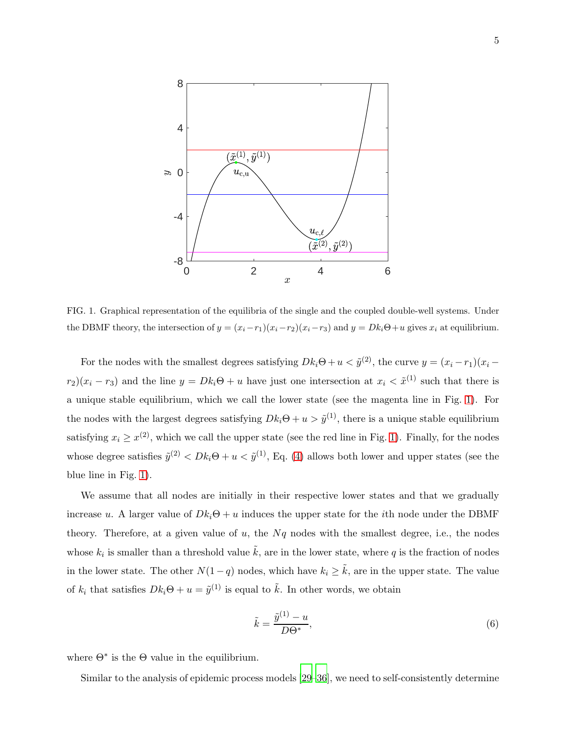

<span id="page-4-0"></span>FIG. 1. Graphical representation of the equilibria of the single and the coupled double-well systems. Under the DBMF theory, the intersection of  $y = (x_i - r_1)(x_i - r_2)(x_i - r_3)$  and  $y = Dk_i\Theta + u$  gives  $x_i$  at equilibrium.

For the nodes with the smallest degrees satisfying  $Dk_i\Theta + u < \tilde{y}^{(2)}$ , the curve  $y = (x_i - r_1)(x_i$  $r_2(x_i - r_3)$  and the line  $y = Dk_i\Theta + u$  have just one intersection at  $x_i < \tilde{x}^{(1)}$  such that there is a unique stable equilibrium, which we call the lower state (see the magenta line in Fig. [1\)](#page-4-0). For the nodes with the largest degrees satisfying  $Dk_i\Theta + u > \tilde{y}^{(1)}$ , there is a unique stable equilibrium satisfying  $x_i \geq x^{(2)}$ , which we call the upper state (see the red line in Fig. [1\)](#page-4-0). Finally, for the nodes whose degree satisfies  $\tilde{y}^{(2)} < D k_i \Theta + u < \tilde{y}^{(1)}$ , Eq. [\(4\)](#page-3-1) allows both lower and upper states (see the blue line in Fig. [1\)](#page-4-0).

We assume that all nodes are initially in their respective lower states and that we gradually increase u. A larger value of  $Dk_i\Theta + u$  induces the upper state for the ith node under the DBMF theory. Therefore, at a given value of  $u$ , the  $Nq$  nodes with the smallest degree, i.e., the nodes whose  $k_i$  is smaller than a threshold value  $\tilde{k}$ , are in the lower state, where q is the fraction of nodes in the lower state. The other  $N(1-q)$  nodes, which have  $k_i \geq \tilde{k}$ , are in the upper state. The value of  $k_i$  that satisfies  $Dk_i\Theta + u = \tilde{y}^{(1)}$  is equal to  $\tilde{k}$ . In other words, we obtain

<span id="page-4-1"></span>
$$
\tilde{k} = \frac{\tilde{y}^{(1)} - u}{D\Theta^*},\tag{6}
$$

where  $\Theta^*$  is the  $\Theta$  value in the equilibrium.

Similar to the analysis of epidemic process models [\[29](#page-15-9)[–36](#page-16-0)], we need to self-consistently determine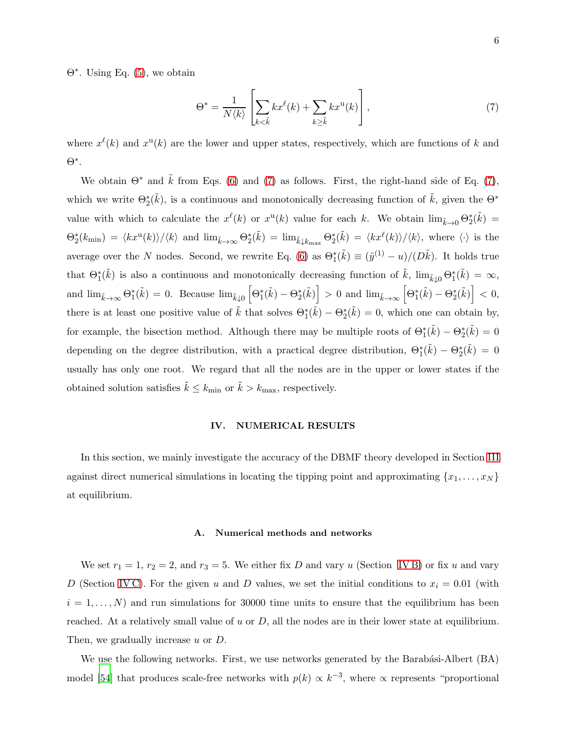Θ∗ . Using Eq. [\(5\)](#page-3-2), we obtain

<span id="page-5-0"></span>
$$
\Theta^* = \frac{1}{N \langle k \rangle} \left[ \sum_{k < \tilde{k}} k x^{\ell}(k) + \sum_{k \ge \tilde{k}} k x^{\mathbf{u}}(k) \right],\tag{7}
$$

where  $x^{\ell}(k)$  and  $x^{\mathbf{u}}(k)$  are the lower and upper states, respectively, which are functions of k and Θ∗ .

We obtain  $\Theta^*$  and  $\tilde{k}$  from Eqs. [\(6\)](#page-4-1) and [\(7\)](#page-5-0) as follows. First, the right-hand side of Eq. (7), which we write  $\Theta_2^*(\tilde{k})$ , is a continuous and monotonically decreasing function of  $\tilde{k}$ , given the  $\Theta^*$ value with which to calculate the  $x^{\ell}(k)$  or  $x^{\mathrm{u}}(k)$  value for each k. We obtain  $\lim_{\tilde{k}\to 0} \Theta_{2}^{*}(\tilde{k}) =$  $\Theta_2^*(k_{\min}) = \langle kx^{\mathfrak{u}}(k) \rangle / \langle k \rangle$  and  $\lim_{\tilde{k} \to \infty} \Theta_2^*(\tilde{k}) = \lim_{\tilde{k} \downarrow k_{\max}} \Theta_2^*(\tilde{k}) = \langle kx^{\ell}(k) \rangle / \langle k \rangle$ , where  $\langle \cdot \rangle$  is the average over the N nodes. Second, we rewrite Eq. [\(6\)](#page-4-1) as  $\Theta_1^*(\tilde{k}) \equiv (\tilde{y}^{(1)} - u)/(D\tilde{k})$ . It holds true that  $\Theta_{1}^{*}(\tilde{k})$  is also a continuous and monotonically decreasing function of  $\tilde{k}$ ,  $\lim_{\tilde{k}\downarrow 0} \Theta_{1}^{*}(\tilde{k}) = \infty$ , and  $\lim_{\tilde{k}\to\infty} \Theta_1^*(\tilde{k}) = 0$ . Because  $\lim_{\tilde{k}\downarrow 0} \left[ \Theta_1^*(\tilde{k}) - \Theta_2^*(\tilde{k}) \right] > 0$  and  $\lim_{\tilde{k}\to\infty} \left[ \Theta_1^*(\tilde{k}) - \Theta_2^*(\tilde{k}) \right] < 0$ , there is at least one positive value of  $\tilde{k}$  that solves  $\Theta_1^*(\tilde{k}) - \Theta_2^*(\tilde{k}) = 0$ , which one can obtain by, for example, the bisection method. Although there may be multiple roots of  $\Theta_1^*(\tilde{k}) - \Theta_2^*(\tilde{k}) = 0$ depending on the degree distribution, with a practical degree distribution,  $\Theta_1^*(\tilde{k}) - \Theta_2^*(\tilde{k}) = 0$ usually has only one root. We regard that all the nodes are in the upper or lower states if the obtained solution satisfies  $\tilde{k} \leq k_{\text{min}}$  or  $\tilde{k} > k_{\text{max}}$ , respectively.

## IV. NUMERICAL RESULTS

In this section, we mainly investigate the accuracy of the DBMF theory developed in Section [III](#page-3-3) against direct numerical simulations in locating the tipping point and approximating  $\{x_1, \ldots, x_N\}$ at equilibrium.

#### A. Numerical methods and networks

We set  $r_1 = 1$ ,  $r_2 = 2$ , and  $r_3 = 5$ . We either fix D and vary u (Section [IV B\)](#page-7-0) or fix u and vary D (Section IVC). For the given u and D values, we set the initial conditions to  $x_i = 0.01$  (with  $i = 1, \ldots, N$  and run simulations for 30000 time units to ensure that the equilibrium has been reached. At a relatively small value of  $u$  or  $D$ , all the nodes are in their lower state at equilibrium. Then, we gradually increase u or D.

We use the following networks. First, we use networks generated by the Barabási-Albert  $(BA)$ model [\[54\]](#page-17-3) that produces scale-free networks with  $p(k) \propto k^{-3}$ , where  $\propto$  represents "proportional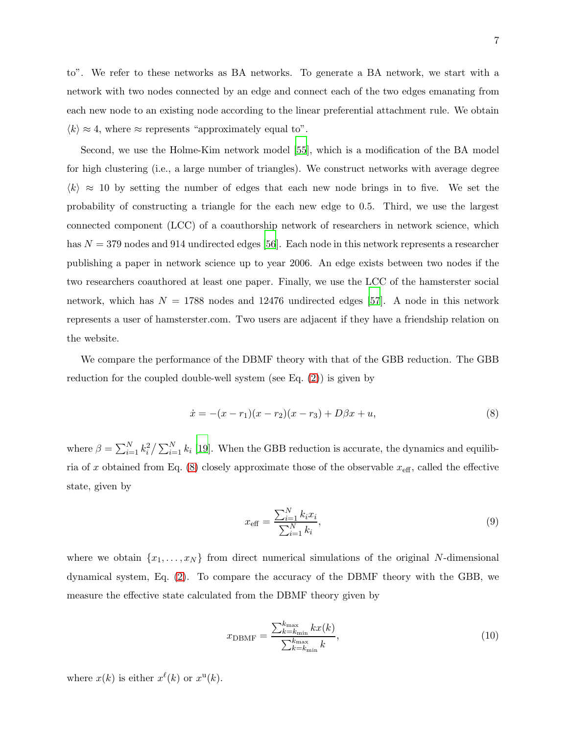Second, we use the Holme-Kim network model [\[55\]](#page-17-4), which is a modification of the BA model for high clustering (i.e., a large number of triangles). We construct networks with average degree  $\langle k \rangle \approx 10$  by setting the number of edges that each new node brings in to five. We set the probability of constructing a triangle for the each new edge to 0.5. Third, we use the largest connected component (LCC) of a coauthorship network of researchers in network science, which has  $N = 379$  nodes and 914 undirected edges [\[56](#page-17-5)]. Each node in this network represents a researcher publishing a paper in network science up to year 2006. An edge exists between two nodes if the two researchers coauthored at least one paper. Finally, we use the LCC of the hamsterster social network, which has  $N = 1788$  nodes and 12476 undirected edges [\[57](#page-17-6)]. A node in this network represents a user of hamsterster.com. Two users are adjacent if they have a friendship relation on the website.

We compare the performance of the DBMF theory with that of the GBB reduction. The GBB reduction for the coupled double-well system (see Eq.  $(2)$ ) is given by

<span id="page-6-0"></span>
$$
\dot{x} = -(x - r_1)(x - r_2)(x - r_3) + D\beta x + u,\tag{8}
$$

where  $\beta = \sum_{i=1}^{N} k_i^2 / \sum_{i=1}^{N} k_i$  [\[19](#page-15-3)]. When the GBB reduction is accurate, the dynamics and equilib-ria of x obtained from Eq. [\(8\)](#page-6-0) closely approximate those of the observable  $x_{\text{eff}}$ , called the effective state, given by

$$
x_{\text{eff}} = \frac{\sum_{i=1}^{N} k_i x_i}{\sum_{i=1}^{N} k_i},\tag{9}
$$

where we obtain  $\{x_1, \ldots, x_N\}$  from direct numerical simulations of the original N-dimensional dynamical system, Eq. [\(2\)](#page-2-0). To compare the accuracy of the DBMF theory with the GBB, we measure the effective state calculated from the DBMF theory given by

$$
x_{\text{DBMF}} = \frac{\sum_{k=k_{\text{min}}}^{k_{\text{max}}} kx(k)}{\sum_{k=k_{\text{min}}}^{k_{\text{max}}} k},\tag{10}
$$

where  $x(k)$  is either  $x^{\ell}(k)$  or  $x^{\mathfrak{u}}(k)$ .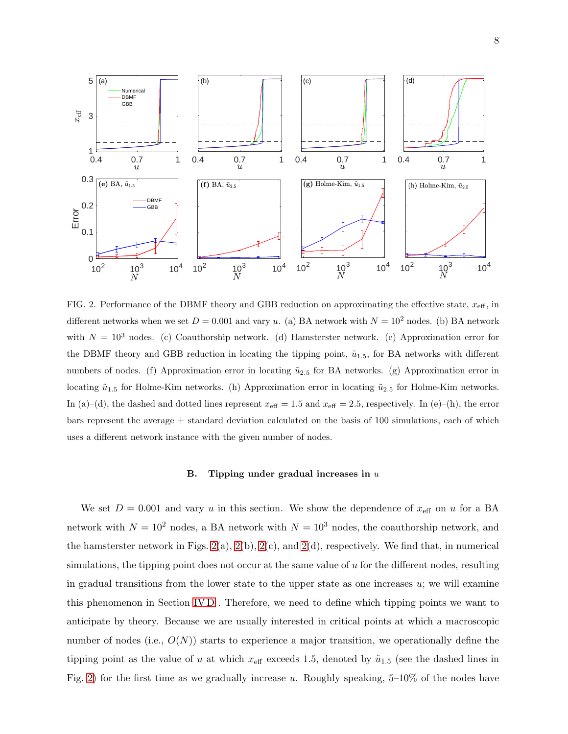

<span id="page-7-1"></span>FIG. 2. Performance of the DBMF theory and GBB reduction on approximating the effective state,  $x_{\text{eff}}$ , in different networks when we set  $D = 0.001$  and vary u. (a) BA network with  $N = 10^2$  nodes. (b) BA network with  $N = 10^3$  nodes. (c) Coauthorship network. (d) Hamsterster network. (e) Approximation error for the DBMF theory and GBB reduction in locating the tipping point,  $\tilde{u}_{1.5}$ , for BA networks with different numbers of nodes. (f) Approximation error in locating  $\tilde{u}_{2.5}$  for BA networks. (g) Approximation error in locating  $\tilde{u}_{1.5}$  for Holme-Kim networks. (h) Approximation error in locating  $\tilde{u}_{2.5}$  for Holme-Kim networks. In (a)–(d), the dashed and dotted lines represent  $x_{\text{eff}} = 1.5$  and  $x_{\text{eff}} = 2.5$ , respectively. In (e)–(h), the error bars represent the average  $\pm$  standard deviation calculated on the basis of 100 simulations, each of which uses a different network instance with the given number of nodes.

## <span id="page-7-0"></span>B. Tipping under gradual increases in  $u$

We set  $D = 0.001$  and vary u in this section. We show the dependence of  $x_{\text{eff}}$  on u for a BA network with  $N = 10^2$  nodes, a BA network with  $N = 10^3$  nodes, the coauthorship network, and the hamsterster network in Figs.  $2(a)$ ,  $2(b)$ ,  $2(c)$ , and  $2(d)$ , respectively. We find that, in numerical simulations, the tipping point does not occur at the same value of u for the different nodes, resulting in gradual transitions from the lower state to the upper state as one increases  $u$ ; we will examine this phenomenon in Section [IV D](#page-10-0) . Therefore, we need to define which tipping points we want to anticipate by theory. Because we are usually interested in critical points at which a macroscopic number of nodes (i.e.,  $O(N)$ ) starts to experience a major transition, we operationally define the tipping point as the value of u at which  $x_{\text{eff}}$  exceeds 1.5, denoted by  $\tilde{u}_{1.5}$  (see the dashed lines in Fig. [2\)](#page-7-1) for the first time as we gradually increase u. Roughly speaking,  $5-10\%$  of the nodes have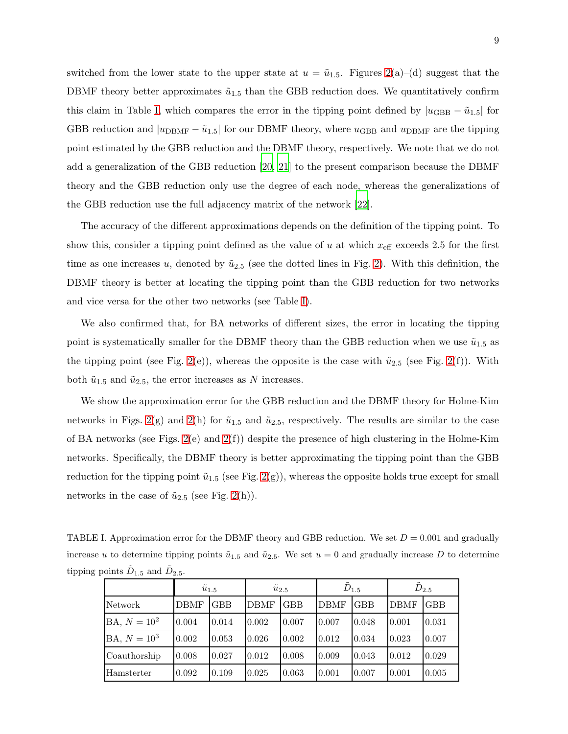switched from the lower state to the upper state at  $u = \tilde{u}_{1.5}$ . Figures [2\(](#page-7-1)a)–(d) suggest that the DBMF theory better approximates  $\tilde{u}_{1.5}$  than the GBB reduction does. We quantitatively confirm this claim in Table [I,](#page-8-0) which compares the error in the tipping point defined by  $|u_{\text{GBB}} - \tilde{u}_{1.5}|$  for GBB reduction and  $|u_{\text{DBMF}} - \tilde{u}_{1.5}|$  for our DBMF theory, where  $u_{\text{GBB}}$  and  $u_{\text{DBMF}}$  are the tipping point estimated by the GBB reduction and the DBMF theory, respectively. We note that we do not add a generalization of the GBB reduction [\[20,](#page-15-4) [21](#page-15-10)] to the present comparison because the DBMF theory and the GBB reduction only use the degree of each node, whereas the generalizations of the GBB reduction use the full adjacency matrix of the network [\[22](#page-15-5)].

The accuracy of the different approximations depends on the definition of the tipping point. To show this, consider a tipping point defined as the value of  $u$  at which  $x_{\text{eff}}$  exceeds 2.5 for the first time as one increases u, denoted by  $\tilde{u}_{2.5}$  (see the dotted lines in Fig. [2\)](#page-7-1). With this definition, the DBMF theory is better at locating the tipping point than the GBB reduction for two networks and vice versa for the other two networks (see Table [I\)](#page-8-0).

We also confirmed that, for BA networks of different sizes, the error in locating the tipping point is systematically smaller for the DBMF theory than the GBB reduction when we use  $\tilde{u}_{1.5}$  as the tipping point (see Fig. [2\(](#page-7-1)e)), whereas the opposite is the case with  $\tilde{u}_{2.5}$  (see Fig. 2(f)). With both  $\tilde{u}_{1.5}$  and  $\tilde{u}_{2.5}$ , the error increases as N increases.

We show the approximation error for the GBB reduction and the DBMF theory for Holme-Kim networks in Figs. [2\(](#page-7-1)g) and 2(h) for  $\tilde{u}_{1.5}$  and  $\tilde{u}_{2.5}$ , respectively. The results are similar to the case of BA networks (see Figs.  $2(e)$  and  $2(f)$ ) despite the presence of high clustering in the Holme-Kim networks. Specifically, the DBMF theory is better approximating the tipping point than the GBB reduction for the tipping point  $\tilde{u}_{1.5}$  (see Fig. [2\(](#page-7-1)g)), whereas the opposite holds true except for small networks in the case of  $\tilde{u}_{2.5}$  (see Fig. [2\(](#page-7-1)h)).

TABLE I. Approximation error for the DBMF theory and GBB reduction. We set  $D = 0.001$  and gradually increase u to determine tipping points  $\tilde{u}_{1.5}$  and  $\tilde{u}_{2.5}$ . We set  $u = 0$  and gradually increase D to determine tipping points  $\tilde{D}_{1.5}$  and  $\tilde{D}_{2.5}$ .

<span id="page-8-0"></span>

|                | $\tilde{u}_{1.5}$ |            | $\tilde{u}_{2.5}$ |            | $\tilde{D}_{1.5}$ |            | $D_{2.5}$   |            |
|----------------|-------------------|------------|-------------------|------------|-------------------|------------|-------------|------------|
| Network        | <b>DBMF</b>       | <b>GBB</b> | <b>DBMF</b>       | <b>GBB</b> | <b>DBMF</b>       | <b>GBB</b> | <b>DBMF</b> | <b>GBB</b> |
| $BA, N = 10^2$ | 0.004             | 0.014      | 0.002             | 0.007      | 0.007             | 0.048      | 0.001       | 0.031      |
| $BA, N = 103$  | 0.002             | 0.053      | 0.026             | 0.002      | 0.012             | 0.034      | 0.023       | 0.007      |
| Coauthorship   | 0.008             | 0.027      | 0.012             | 0.008      | 0.009             | 0.043      | 0.012       | 0.029      |
| Hamsterter     | 0.092             | 0.109      | 0.025             | 0.063      | 0.001             | 0.007      | 0.001       | 0.005      |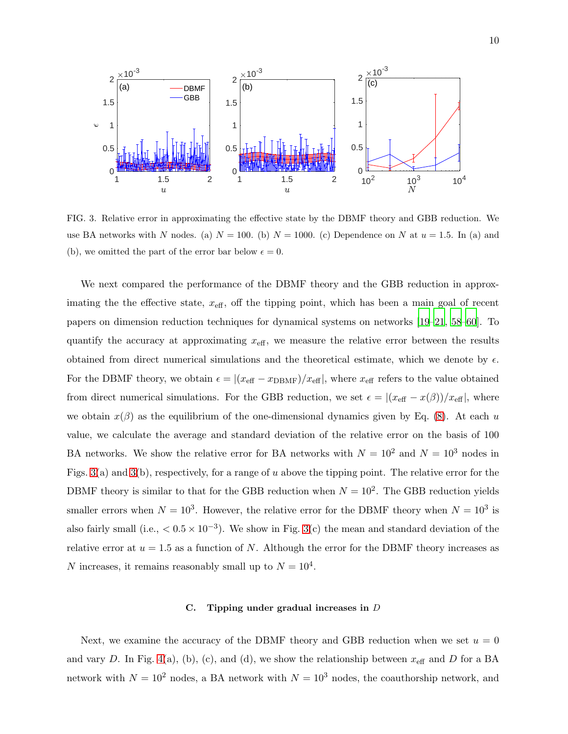

<span id="page-9-1"></span>FIG. 3. Relative error in approximating the effective state by the DBMF theory and GBB reduction. We use BA networks with N nodes. (a)  $N = 100$ . (b)  $N = 1000$ . (c) Dependence on N at  $u = 1.5$ . In (a) and (b), we omitted the part of the error bar below  $\epsilon = 0$ .

We next compared the performance of the DBMF theory and the GBB reduction in approximating the the effective state,  $x_{\text{eff}}$ , off the tipping point, which has been a main goal of recent papers on dimension reduction techniques for dynamical systems on networks [\[19](#page-15-3)[–21,](#page-15-10) [58](#page-17-7)[–60\]](#page-17-8). To quantify the accuracy at approximating  $x_{\text{eff}}$ , we measure the relative error between the results obtained from direct numerical simulations and the theoretical estimate, which we denote by  $\epsilon$ . For the DBMF theory, we obtain  $\epsilon = |(x_{\text{eff}} - x_{\text{DBMF}})/x_{\text{eff}}|$ , where  $x_{\text{eff}}$  refers to the value obtained from direct numerical simulations. For the GBB reduction, we set  $\epsilon = |(x_{\text{eff}} - x(\beta))/x_{\text{eff}}|$ , where we obtain  $x(\beta)$  as the equilibrium of the one-dimensional dynamics given by Eq. [\(8\)](#page-6-0). At each u value, we calculate the average and standard deviation of the relative error on the basis of 100 BA networks. We show the relative error for BA networks with  $N = 10^2$  and  $N = 10^3$  nodes in Figs. [3\(](#page-9-1)a) and 3(b), respectively, for a range of u above the tipping point. The relative error for the DBMF theory is similar to that for the GBB reduction when  $N = 10^2$ . The GBB reduction yields smaller errors when  $N = 10^3$ . However, the relative error for the DBMF theory when  $N = 10^3$  is also fairly small (i.e.,  $< 0.5 \times 10^{-3}$ ). We show in Fig. [3\(](#page-9-1)c) the mean and standard deviation of the relative error at  $u = 1.5$  as a function of N. Although the error for the DBMF theory increases as N increases, it remains reasonably small up to  $N = 10^4$ .

## <span id="page-9-0"></span>C. Tipping under gradual increases in D

Next, we examine the accuracy of the DBMF theory and GBB reduction when we set  $u = 0$ and vary D. In Fig. [4\(](#page-11-0)a), (b), (c), and (d), we show the relationship between  $x_{\text{eff}}$  and D for a BA network with  $N = 10^2$  nodes, a BA network with  $N = 10^3$  nodes, the coauthorship network, and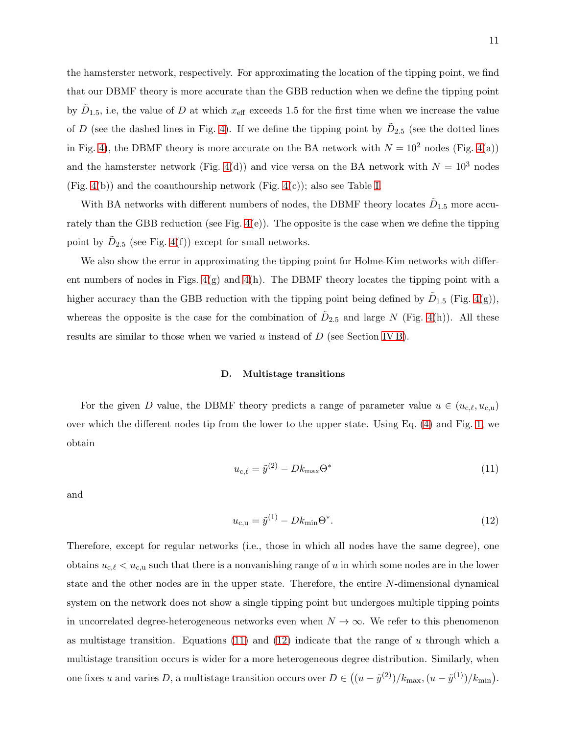the hamsterster network, respectively. For approximating the location of the tipping point, we find that our DBMF theory is more accurate than the GBB reduction when we define the tipping point by  $\tilde{D}_{1.5}$ , i.e, the value of D at which  $x_{\text{eff}}$  exceeds 1.5 for the first time when we increase the value of D (see the dashed lines in Fig. [4\)](#page-11-0). If we define the tipping point by  $\tilde{D}_{2.5}$  (see the dotted lines in Fig. [4\)](#page-11-0), the DBMF theory is more accurate on the BA network with  $N = 10^2$  nodes (Fig. [4\(](#page-11-0)a)) and the hamsterster network (Fig. [4\(](#page-11-0)d)) and vice versa on the BA network with  $N = 10<sup>3</sup>$  nodes (Fig. [4\(](#page-11-0)b)) and the coauthourship network (Fig. [4\(](#page-11-0)c)); also see Table [I.](#page-8-0)

With BA networks with different numbers of nodes, the DBMF theory locates  $\tilde{D}_{1.5}$  more accurately than the GBB reduction (see Fig. [4\(](#page-11-0)e)). The opposite is the case when we define the tipping point by  $\tilde{D}_{2.5}$  (see Fig. [4\(](#page-11-0)f)) except for small networks.

We also show the error in approximating the tipping point for Holme-Kim networks with different numbers of nodes in Figs. [4\(](#page-11-0)g) and [4\(](#page-11-0)h). The DBMF theory locates the tipping point with a higher accuracy than the GBB reduction with the tipping point being defined by  $\tilde{D}_{1.5}$  (Fig. [4\(](#page-11-0)g)), whereas the opposite is the case for the combination of  $\tilde{D}_{2.5}$  and large N (Fig. [4\(](#page-11-0)h)). All these results are similar to those when we varied  $u$  instead of  $D$  (see Section [IV B\)](#page-7-0).

#### <span id="page-10-0"></span>D. Multistage transitions

For the given D value, the DBMF theory predicts a range of parameter value  $u \in (u_{c,\ell}, u_{c,u})$ over which the different nodes tip from the lower to the upper state. Using Eq. [\(4\)](#page-3-1) and Fig. [1,](#page-4-0) we obtain

<span id="page-10-1"></span>
$$
u_{\rm c,\ell} = \tilde{y}^{(2)} - Dk_{\rm max} \Theta^* \tag{11}
$$

and

<span id="page-10-2"></span>
$$
u_{c,u} = \tilde{y}^{(1)} - Dk_{\min} \Theta^*.
$$
 (12)

Therefore, except for regular networks (i.e., those in which all nodes have the same degree), one obtains  $u_{c,\ell} < u_{c,\mu}$  such that there is a nonvanishing range of u in which some nodes are in the lower state and the other nodes are in the upper state. Therefore, the entire N-dimensional dynamical system on the network does not show a single tipping point but undergoes multiple tipping points in uncorrelated degree-heterogeneous networks even when  $N \to \infty$ . We refer to this phenomenon as multistage transition. Equations [\(11\)](#page-10-1) and [\(12\)](#page-10-2) indicate that the range of u through which a multistage transition occurs is wider for a more heterogeneous degree distribution. Similarly, when one fixes u and varies D, a multistage transition occurs over  $D \in ((u - \tilde{y}^{(2)})/k_{\max}, (u - \tilde{y}^{(1)})/k_{\min}).$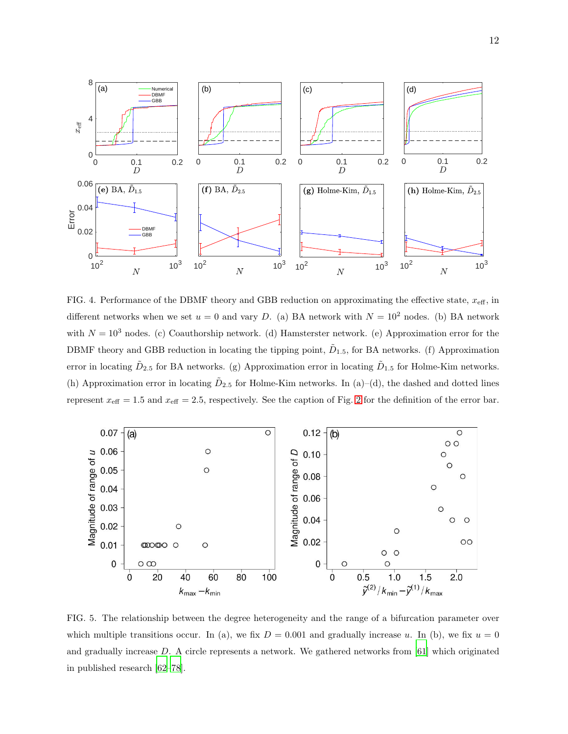

<span id="page-11-0"></span>FIG. 4. Performance of the DBMF theory and GBB reduction on approximating the effective state,  $x_{\text{eff}}$ , in different networks when we set  $u = 0$  and vary D. (a) BA network with  $N = 10^2$  nodes. (b) BA network with  $N = 10<sup>3</sup>$  nodes. (c) Coauthorship network. (d) Hamsterster network. (e) Approximation error for the DBMF theory and GBB reduction in locating the tipping point,  $\tilde{D}_{1.5}$ , for BA networks. (f) Approximation error in locating  $\tilde{D}_{2.5}$  for BA networks. (g) Approximation error in locating  $\tilde{D}_{1.5}$  for Holme-Kim networks. (h) Approximation error in locating  $\tilde{D}_{2.5}$  for Holme-Kim networks. In (a)–(d), the dashed and dotted lines represent  $x_{\text{eff}} = 1.5$  and  $x_{\text{eff}} = 2.5$  $x_{\text{eff}} = 2.5$  $x_{\text{eff}} = 2.5$ , respectively. See the caption of Fig. 2 for the definition of the error bar.



<span id="page-11-1"></span>FIG. 5. The relationship between the degree heterogeneity and the range of a bifurcation parameter over which multiple transitions occur. In (a), we fix  $D = 0.001$  and gradually increase u. In (b), we fix  $u = 0$ and gradually increase D. A circle represents a network. We gathered networks from [\[61\]](#page-17-9) which originated in published research [\[62](#page-17-10)[–78\]](#page-18-0).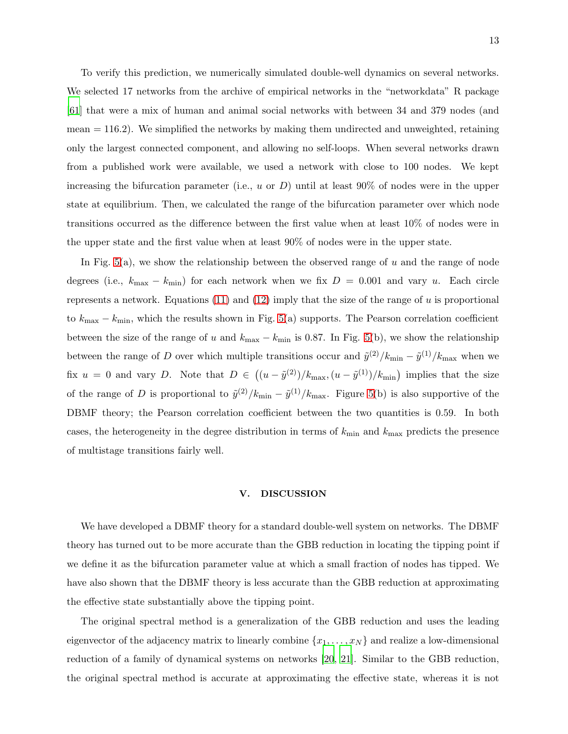To verify this prediction, we numerically simulated double-well dynamics on several networks. We selected 17 networks from the archive of empirical networks in the "networkdata" R package [\[61\]](#page-17-9) that were a mix of human and animal social networks with between 34 and 379 nodes (and  $mean = 116.2$ ). We simplified the networks by making them undirected and unweighted, retaining only the largest connected component, and allowing no self-loops. When several networks drawn from a published work were available, we used a network with close to 100 nodes. We kept increasing the bifurcation parameter (i.e., u or  $D$ ) until at least 90% of nodes were in the upper state at equilibrium. Then, we calculated the range of the bifurcation parameter over which node transitions occurred as the difference between the first value when at least 10% of nodes were in the upper state and the first value when at least 90% of nodes were in the upper state.

In Fig.  $5(a)$ , we show the relationship between the observed range of u and the range of node degrees (i.e.,  $k_{\text{max}} - k_{\text{min}}$ ) for each network when we fix  $D = 0.001$  and vary u. Each circle represents a network. Equations  $(11)$  and  $(12)$  imply that the size of the range of u is proportional to  $k_{\text{max}} - k_{\text{min}}$ , which the results shown in Fig. [5\(](#page-11-1)a) supports. The Pearson correlation coefficient between the size of the range of u and  $k_{\text{max}} - k_{\text{min}}$  is 0.87. In Fig. [5\(](#page-11-1)b), we show the relationship between the range of D over which multiple transitions occur and  $\tilde{y}^{(2)}/k_{\text{min}} - \tilde{y}^{(1)}/k_{\text{max}}$  when we fix  $u = 0$  and vary D. Note that  $D \in ((u - \tilde{y}^{(2)})/k_{\max}, (u - \tilde{y}^{(1)})/k_{\min})$  implies that the size of the range of D is proportional to  $\tilde{y}^{(2)}/k_{\text{min}} - \tilde{y}^{(1)}/k_{\text{max}}$ . Figure [5\(](#page-11-1)b) is also supportive of the DBMF theory; the Pearson correlation coefficient between the two quantities is 0.59. In both cases, the heterogeneity in the degree distribution in terms of  $k_{\text{min}}$  and  $k_{\text{max}}$  predicts the presence of multistage transitions fairly well.

#### V. DISCUSSION

We have developed a DBMF theory for a standard double-well system on networks. The DBMF theory has turned out to be more accurate than the GBB reduction in locating the tipping point if we define it as the bifurcation parameter value at which a small fraction of nodes has tipped. We have also shown that the DBMF theory is less accurate than the GBB reduction at approximating the effective state substantially above the tipping point.

The original spectral method is a generalization of the GBB reduction and uses the leading eigenvector of the adjacency matrix to linearly combine  $\{x_1, \ldots, x_N\}$  and realize a low-dimensional reduction of a family of dynamical systems on networks [\[20](#page-15-4), [21](#page-15-10)]. Similar to the GBB reduction, the original spectral method is accurate at approximating the effective state, whereas it is not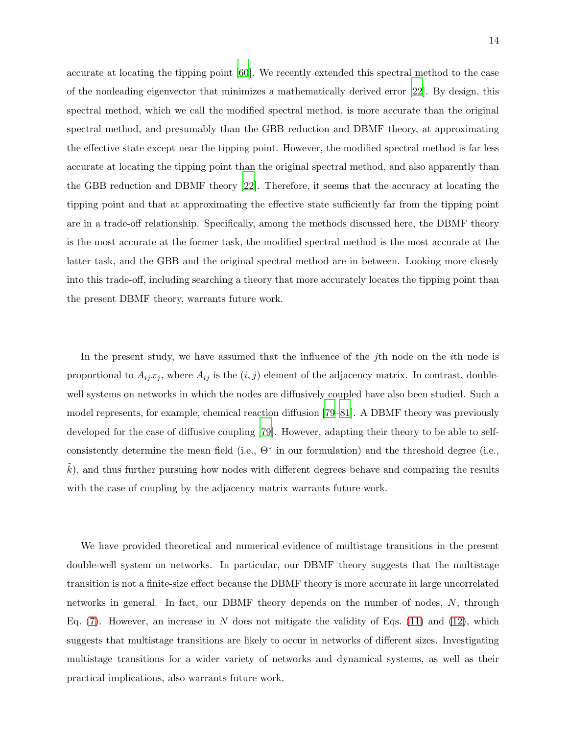accurate at locating the tipping point [\[60](#page-17-8)]. We recently extended this spectral method to the case of the nonleading eigenvector that minimizes a mathematically derived error [\[22\]](#page-15-5). By design, this spectral method, which we call the modified spectral method, is more accurate than the original spectral method, and presumably than the GBB reduction and DBMF theory, at approximating the effective state except near the tipping point. However, the modified spectral method is far less accurate at locating the tipping point than the original spectral method, and also apparently than the GBB reduction and DBMF theory [\[22\]](#page-15-5). Therefore, it seems that the accuracy at locating the tipping point and that at approximating the effective state sufficiently far from the tipping point are in a trade-off relationship. Specifically, among the methods discussed here, the DBMF theory is the most accurate at the former task, the modified spectral method is the most accurate at the latter task, and the GBB and the original spectral method are in between. Looking more closely into this trade-off, including searching a theory that more accurately locates the tipping point than the present DBMF theory, warrants future work.

In the present study, we have assumed that the influence of the jth node on the *i*th node is proportional to  $A_{ij}x_j$ , where  $A_{ij}$  is the  $(i, j)$  element of the adjacency matrix. In contrast, doublewell systems on networks in which the nodes are diffusively coupled have also been studied. Such a model represents, for example, chemical reaction diffusion [\[79](#page-18-1)[–81\]](#page-18-2). A DBMF theory was previously developed for the case of diffusive coupling [\[79](#page-18-1)]. However, adapting their theory to be able to selfconsistently determine the mean field (i.e., Θ<sup>∗</sup> in our formulation) and the threshold degree (i.e.,  $k$ ), and thus further pursuing how nodes with different degrees behave and comparing the results with the case of coupling by the adjacency matrix warrants future work.

We have provided theoretical and numerical evidence of multistage transitions in the present double-well system on networks. In particular, our DBMF theory suggests that the multistage transition is not a finite-size effect because the DBMF theory is more accurate in large uncorrelated networks in general. In fact, our DBMF theory depends on the number of nodes, N, through Eq.  $(7)$ . However, an increase in N does not mitigate the validity of Eqs.  $(11)$  and  $(12)$ , which suggests that multistage transitions are likely to occur in networks of different sizes. Investigating multistage transitions for a wider variety of networks and dynamical systems, as well as their practical implications, also warrants future work.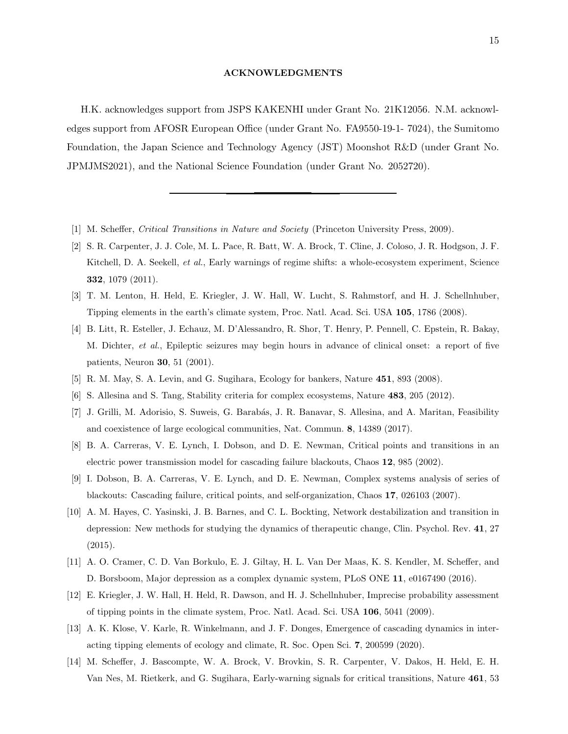### ACKNOWLEDGMENTS

H.K. acknowledges support from JSPS KAKENHI under Grant No. 21K12056. N.M. acknowledges support from AFOSR European Office (under Grant No. FA9550-19-1- 7024), the Sumitomo Foundation, the Japan Science and Technology Agency (JST) Moonshot R&D (under Grant No. JPMJMS2021), and the National Science Foundation (under Grant No. 2052720).

- <span id="page-14-0"></span>[1] M. Scheffer, Critical Transitions in Nature and Society (Princeton University Press, 2009).
- <span id="page-14-1"></span>[2] S. R. Carpenter, J. J. Cole, M. L. Pace, R. Batt, W. A. Brock, T. Cline, J. Coloso, J. R. Hodgson, J. F. Kitchell, D. A. Seekell, et al., Early warnings of regime shifts: a whole-ecosystem experiment, Science 332, 1079 (2011).
- <span id="page-14-2"></span>[3] T. M. Lenton, H. Held, E. Kriegler, J. W. Hall, W. Lucht, S. Rahmstorf, and H. J. Schellnhuber, Tipping elements in the earth's climate system, Proc. Natl. Acad. Sci. USA 105, 1786 (2008).
- <span id="page-14-3"></span>[4] B. Litt, R. Esteller, J. Echauz, M. D'Alessandro, R. Shor, T. Henry, P. Pennell, C. Epstein, R. Bakay, M. Dichter, et al., Epileptic seizures may begin hours in advance of clinical onset: a report of five patients, Neuron 30, 51 (2001).
- <span id="page-14-4"></span>[5] R. M. May, S. A. Levin, and G. Sugihara, Ecology for bankers, Nature 451, 893 (2008).
- <span id="page-14-5"></span>[6] S. Allesina and S. Tang, Stability criteria for complex ecosystems, Nature 483, 205 (2012).
- <span id="page-14-6"></span>[7] J. Grilli, M. Adorisio, S. Suweis, G. Barabás, J. R. Banavar, S. Allesina, and A. Maritan, Feasibility and coexistence of large ecological communities, Nat. Commun. 8, 14389 (2017).
- <span id="page-14-7"></span>[8] B. A. Carreras, V. E. Lynch, I. Dobson, and D. E. Newman, Critical points and transitions in an electric power transmission model for cascading failure blackouts, Chaos 12, 985 (2002).
- <span id="page-14-8"></span>[9] I. Dobson, B. A. Carreras, V. E. Lynch, and D. E. Newman, Complex systems analysis of series of blackouts: Cascading failure, critical points, and self-organization, Chaos 17, 026103 (2007).
- <span id="page-14-9"></span>[10] A. M. Hayes, C. Yasinski, J. B. Barnes, and C. L. Bockting, Network destabilization and transition in depression: New methods for studying the dynamics of therapeutic change, Clin. Psychol. Rev. 41, 27 (2015).
- <span id="page-14-10"></span>[11] A. O. Cramer, C. D. Van Borkulo, E. J. Giltay, H. L. Van Der Maas, K. S. Kendler, M. Scheffer, and D. Borsboom, Major depression as a complex dynamic system, PLoS ONE 11, e0167490 (2016).
- <span id="page-14-11"></span>[12] E. Kriegler, J. W. Hall, H. Held, R. Dawson, and H. J. Schellnhuber, Imprecise probability assessment of tipping points in the climate system, Proc. Natl. Acad. Sci. USA 106, 5041 (2009).
- <span id="page-14-12"></span>[13] A. K. Klose, V. Karle, R. Winkelmann, and J. F. Donges, Emergence of cascading dynamics in interacting tipping elements of ecology and climate, R. Soc. Open Sci. 7, 200599 (2020).
- <span id="page-14-13"></span>[14] M. Scheffer, J. Bascompte, W. A. Brock, V. Brovkin, S. R. Carpenter, V. Dakos, H. Held, E. H. Van Nes, M. Rietkerk, and G. Sugihara, Early-warning signals for critical transitions, Nature 461, 53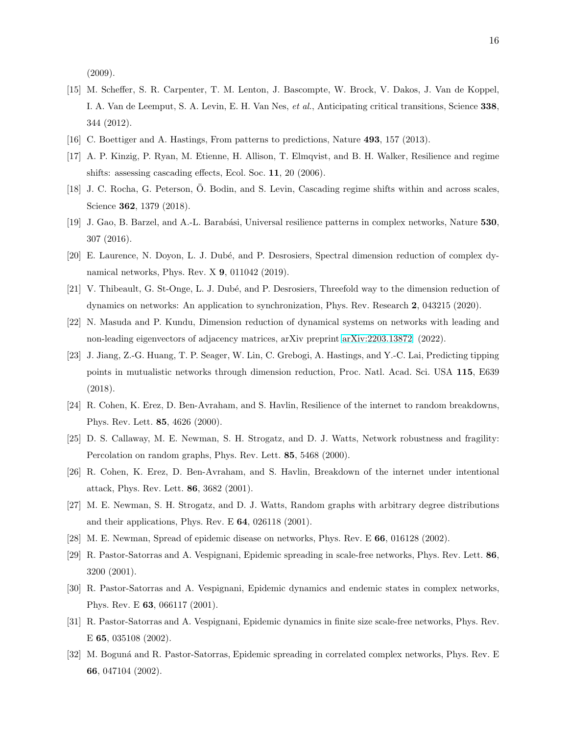(2009).

- [15] M. Scheffer, S. R. Carpenter, T. M. Lenton, J. Bascompte, W. Brock, V. Dakos, J. Van de Koppel, I. A. Van de Leemput, S. A. Levin, E. H. Van Nes, et al., Anticipating critical transitions, Science 338, 344 (2012).
- <span id="page-15-0"></span>[16] C. Boettiger and A. Hastings, From patterns to predictions, Nature 493, 157 (2013).
- <span id="page-15-1"></span>[17] A. P. Kinzig, P. Ryan, M. Etienne, H. Allison, T. Elmqvist, and B. H. Walker, Resilience and regime shifts: assessing cascading effects, Ecol. Soc. 11, 20 (2006).
- <span id="page-15-2"></span>[18] J. C. Rocha, G. Peterson, Ö. Bodin, and S. Levin, Cascading regime shifts within and across scales, Science 362, 1379 (2018).
- <span id="page-15-3"></span>[19] J. Gao, B. Barzel, and A.-L. Barabási, Universal resilience patterns in complex networks, Nature 530, 307 (2016).
- <span id="page-15-4"></span>[20] E. Laurence, N. Doyon, L. J. Dubé, and P. Desrosiers, Spectral dimension reduction of complex dynamical networks, Phys. Rev. X 9, 011042 (2019).
- <span id="page-15-10"></span>[21] V. Thibeault, G. St-Onge, L. J. Dubé, and P. Desrosiers, Threefold way to the dimension reduction of dynamics on networks: An application to synchronization, Phys. Rev. Research 2, 043215 (2020).
- <span id="page-15-5"></span>[22] N. Masuda and P. Kundu, Dimension reduction of dynamical systems on networks with leading and non-leading eigenvectors of adjacency matrices, arXiv preprint [arXiv:2203.13872](http://arxiv.org/abs/2203.13872) (2022).
- <span id="page-15-6"></span>[23] J. Jiang, Z.-G. Huang, T. P. Seager, W. Lin, C. Grebogi, A. Hastings, and Y.-C. Lai, Predicting tipping points in mutualistic networks through dimension reduction, Proc. Natl. Acad. Sci. USA 115, E639 (2018).
- <span id="page-15-7"></span>[24] R. Cohen, K. Erez, D. Ben-Avraham, and S. Havlin, Resilience of the internet to random breakdowns, Phys. Rev. Lett. 85, 4626 (2000).
- [25] D. S. Callaway, M. E. Newman, S. H. Strogatz, and D. J. Watts, Network robustness and fragility: Percolation on random graphs, Phys. Rev. Lett. 85, 5468 (2000).
- [26] R. Cohen, K. Erez, D. Ben-Avraham, and S. Havlin, Breakdown of the internet under intentional attack, Phys. Rev. Lett. 86, 3682 (2001).
- [27] M. E. Newman, S. H. Strogatz, and D. J. Watts, Random graphs with arbitrary degree distributions and their applications, Phys. Rev. E 64, 026118 (2001).
- <span id="page-15-8"></span>[28] M. E. Newman, Spread of epidemic disease on networks, Phys. Rev. E 66, 016128 (2002).
- <span id="page-15-9"></span>[29] R. Pastor-Satorras and A. Vespignani, Epidemic spreading in scale-free networks, Phys. Rev. Lett. 86, 3200 (2001).
- [30] R. Pastor-Satorras and A. Vespignani, Epidemic dynamics and endemic states in complex networks, Phys. Rev. E 63, 066117 (2001).
- [31] R. Pastor-Satorras and A. Vespignani, Epidemic dynamics in finite size scale-free networks, Phys. Rev. E 65, 035108 (2002).
- [32] M. Boguná and R. Pastor-Satorras, Epidemic spreading in correlated complex networks, Phys. Rev. E 66, 047104 (2002).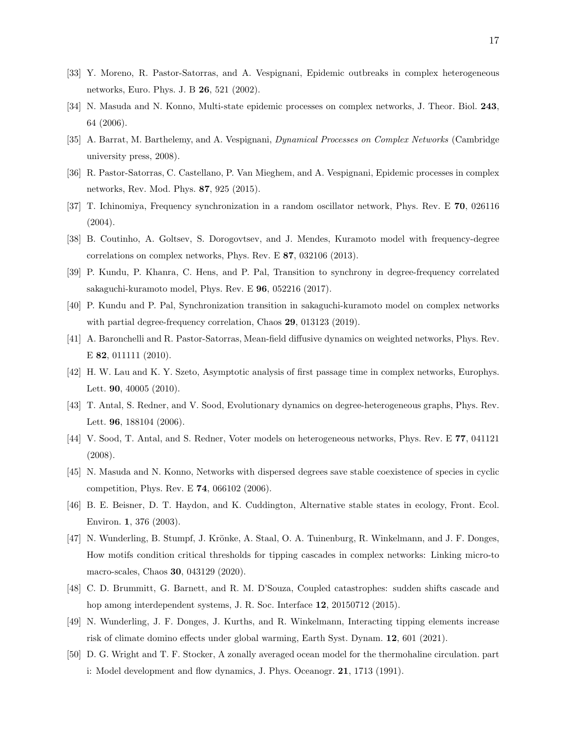- [33] Y. Moreno, R. Pastor-Satorras, and A. Vespignani, Epidemic outbreaks in complex heterogeneous networks, Euro. Phys. J. B 26, 521 (2002).
- [34] N. Masuda and N. Konno, Multi-state epidemic processes on complex networks, J. Theor. Biol. 243, 64 (2006).
- [35] A. Barrat, M. Barthelemy, and A. Vespignani, Dynamical Processes on Complex Networks (Cambridge university press, 2008).
- <span id="page-16-0"></span>[36] R. Pastor-Satorras, C. Castellano, P. Van Mieghem, and A. Vespignani, Epidemic processes in complex networks, Rev. Mod. Phys. 87, 925 (2015).
- <span id="page-16-1"></span>[37] T. Ichinomiya, Frequency synchronization in a random oscillator network, Phys. Rev. E 70, 026116 (2004).
- [38] B. Coutinho, A. Goltsev, S. Dorogovtsev, and J. Mendes, Kuramoto model with frequency-degree correlations on complex networks, Phys. Rev. E 87, 032106 (2013).
- [39] P. Kundu, P. Khanra, C. Hens, and P. Pal, Transition to synchrony in degree-frequency correlated sakaguchi-kuramoto model, Phys. Rev. E 96, 052216 (2017).
- <span id="page-16-2"></span>[40] P. Kundu and P. Pal, Synchronization transition in sakaguchi-kuramoto model on complex networks with partial degree-frequency correlation, Chaos 29, 013123 (2019).
- <span id="page-16-3"></span>[41] A. Baronchelli and R. Pastor-Satorras, Mean-field diffusive dynamics on weighted networks, Phys. Rev. E **82**, 011111 (2010).
- <span id="page-16-4"></span>[42] H. W. Lau and K. Y. Szeto, Asymptotic analysis of first passage time in complex networks, Europhys. Lett. 90, 40005 (2010).
- <span id="page-16-5"></span>[43] T. Antal, S. Redner, and V. Sood, Evolutionary dynamics on degree-heterogeneous graphs, Phys. Rev. Lett. 96, 188104 (2006).
- <span id="page-16-6"></span>[44] V. Sood, T. Antal, and S. Redner, Voter models on heterogeneous networks, Phys. Rev. E 77, 041121 (2008).
- <span id="page-16-7"></span>[45] N. Masuda and N. Konno, Networks with dispersed degrees save stable coexistence of species in cyclic competition, Phys. Rev. E 74, 066102 (2006).
- <span id="page-16-8"></span>[46] B. E. Beisner, D. T. Haydon, and K. Cuddington, Alternative stable states in ecology, Front. Ecol. Environ. 1, 376 (2003).
- <span id="page-16-11"></span>[47] N. Wunderling, B. Stumpf, J. Krönke, A. Staal, O. A. Tuinenburg, R. Winkelmann, and J. F. Donges, How motifs condition critical thresholds for tipping cascades in complex networks: Linking micro-to macro-scales, Chaos 30, 043129 (2020).
- <span id="page-16-12"></span>[48] C. D. Brummitt, G. Barnett, and R. M. D'Souza, Coupled catastrophes: sudden shifts cascade and hop among interdependent systems, J. R. Soc. Interface 12, 20150712 (2015).
- <span id="page-16-9"></span>[49] N. Wunderling, J. F. Donges, J. Kurths, and R. Winkelmann, Interacting tipping elements increase risk of climate domino effects under global warming, Earth Syst. Dynam. 12, 601 (2021).
- <span id="page-16-10"></span>[50] D. G. Wright and T. F. Stocker, A zonally averaged ocean model for the thermohaline circulation. part i: Model development and flow dynamics, J. Phys. Oceanogr. 21, 1713 (1991).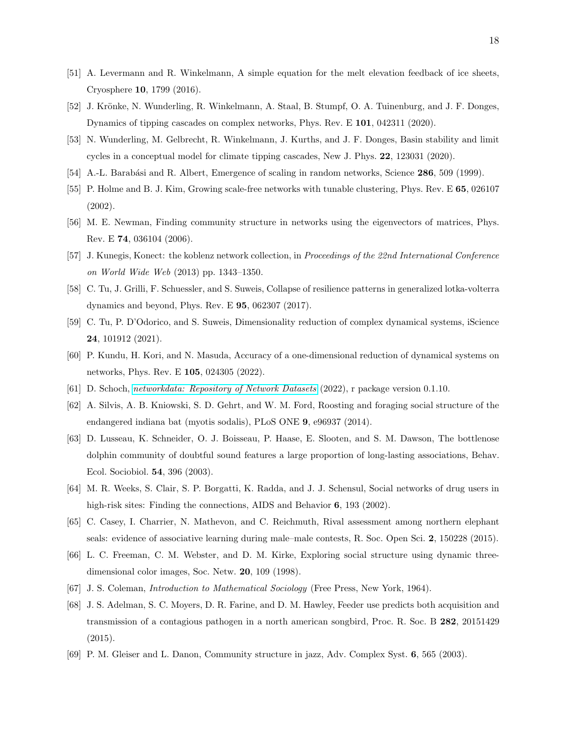- <span id="page-17-0"></span>[51] A. Levermann and R. Winkelmann, A simple equation for the melt elevation feedback of ice sheets, Cryosphere 10, 1799 (2016).
- <span id="page-17-1"></span>[52] J. Krönke, N. Wunderling, R. Winkelmann, A. Staal, B. Stumpf, O. A. Tuinenburg, and J. F. Donges, Dynamics of tipping cascades on complex networks, Phys. Rev. E 101, 042311 (2020).
- <span id="page-17-2"></span>[53] N. Wunderling, M. Gelbrecht, R. Winkelmann, J. Kurths, and J. F. Donges, Basin stability and limit cycles in a conceptual model for climate tipping cascades, New J. Phys. 22, 123031 (2020).
- <span id="page-17-3"></span>[54] A.-L. Barabási and R. Albert, Emergence of scaling in random networks, Science 286, 509 (1999).
- <span id="page-17-4"></span>[55] P. Holme and B. J. Kim, Growing scale-free networks with tunable clustering, Phys. Rev. E 65, 026107 (2002).
- <span id="page-17-5"></span>[56] M. E. Newman, Finding community structure in networks using the eigenvectors of matrices, Phys. Rev. E 74, 036104 (2006).
- <span id="page-17-6"></span>[57] J. Kunegis, Konect: the koblenz network collection, in Proceedings of the 22nd International Conference on World Wide Web (2013) pp. 1343–1350.
- <span id="page-17-7"></span>[58] C. Tu, J. Grilli, F. Schuessler, and S. Suweis, Collapse of resilience patterns in generalized lotka-volterra dynamics and beyond, Phys. Rev. E 95, 062307 (2017).
- [59] C. Tu, P. D'Odorico, and S. Suweis, Dimensionality reduction of complex dynamical systems, iScience 24, 101912 (2021).
- <span id="page-17-8"></span>[60] P. Kundu, H. Kori, and N. Masuda, Accuracy of a one-dimensional reduction of dynamical systems on networks, Phys. Rev. E 105, 024305 (2022).
- <span id="page-17-9"></span>[61] D. Schoch, [networkdata: Repository of Network Datasets](https://github.com/schochastics/networkdata) (2022), r package version 0.1.10.
- <span id="page-17-10"></span>[62] A. Silvis, A. B. Kniowski, S. D. Gehrt, and W. M. Ford, Roosting and foraging social structure of the endangered indiana bat (myotis sodalis), PLoS ONE 9, e96937 (2014).
- [63] D. Lusseau, K. Schneider, O. J. Boisseau, P. Haase, E. Slooten, and S. M. Dawson, The bottlenose dolphin community of doubtful sound features a large proportion of long-lasting associations, Behav. Ecol. Sociobiol. 54, 396 (2003).
- [64] M. R. Weeks, S. Clair, S. P. Borgatti, K. Radda, and J. J. Schensul, Social networks of drug users in high-risk sites: Finding the connections, AIDS and Behavior **6**, 193 (2002).
- [65] C. Casey, I. Charrier, N. Mathevon, and C. Reichmuth, Rival assessment among northern elephant seals: evidence of associative learning during male–male contests, R. Soc. Open Sci. 2, 150228 (2015).
- [66] L. C. Freeman, C. M. Webster, and D. M. Kirke, Exploring social structure using dynamic threedimensional color images, Soc. Netw. 20, 109 (1998).
- [67] J. S. Coleman, Introduction to Mathematical Sociology (Free Press, New York, 1964).
- [68] J. S. Adelman, S. C. Moyers, D. R. Farine, and D. M. Hawley, Feeder use predicts both acquisition and transmission of a contagious pathogen in a north american songbird, Proc. R. Soc. B 282, 20151429 (2015).
- [69] P. M. Gleiser and L. Danon, Community structure in jazz, Adv. Complex Syst. 6, 565 (2003).